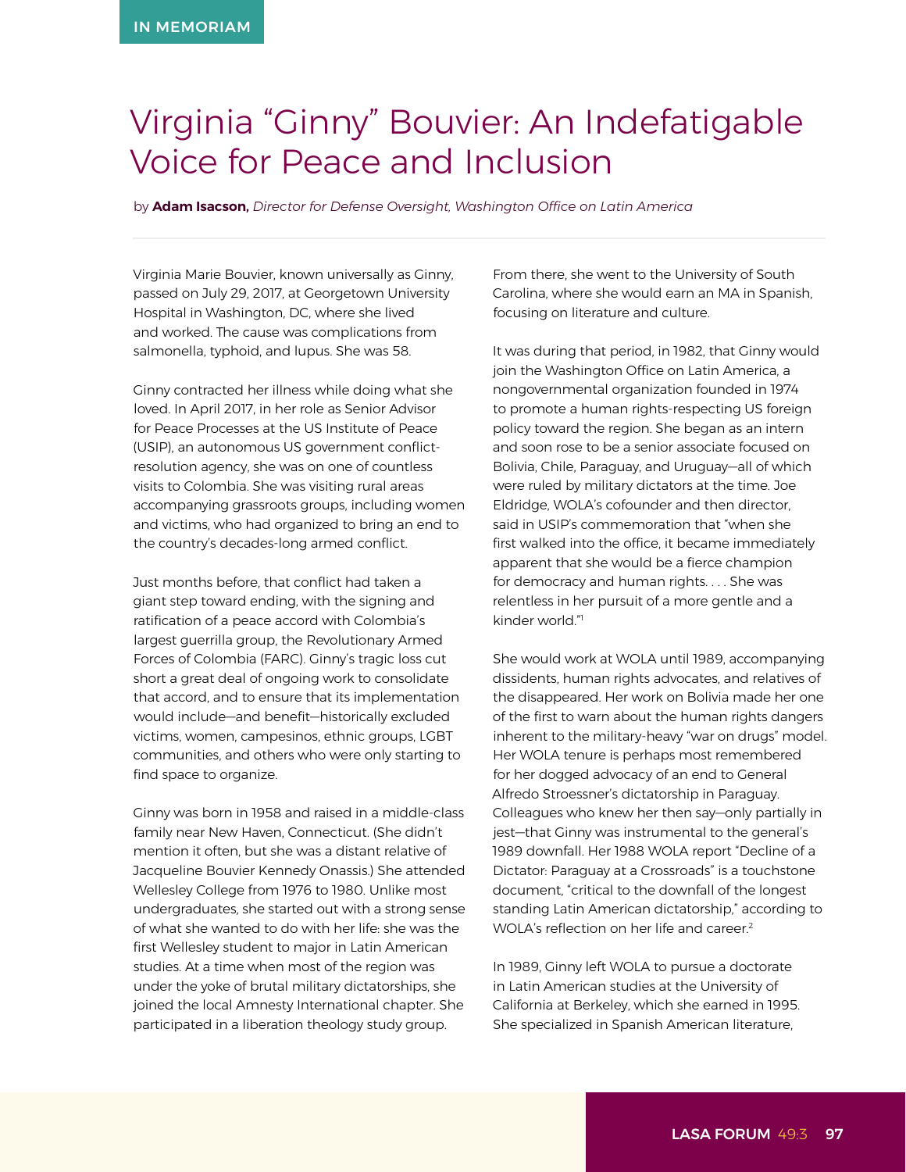## Virginia "Ginny" Bouvier: An Indefatigable Voice for Peace and Inclusion

by **Adam Isacson,** *Director for Defense Oversight, Washington Office on Latin America*

Virginia Marie Bouvier, known universally as Ginny, passed on July 29, 2017, at Georgetown University Hospital in Washington, DC, where she lived and worked. The cause was complications from salmonella, typhoid, and lupus. She was 58.

Ginny contracted her illness while doing what she loved. In April 2017, in her role as Senior Advisor for Peace Processes at the US Institute of Peace (USIP), an autonomous US government conflictresolution agency, she was on one of countless visits to Colombia. She was visiting rural areas accompanying grassroots groups, including women and victims, who had organized to bring an end to the country's decades-long armed conflict.

Just months before, that conflict had taken a giant step toward ending, with the signing and ratification of a peace accord with Colombia's largest guerrilla group, the Revolutionary Armed Forces of Colombia (FARC). Ginny's tragic loss cut short a great deal of ongoing work to consolidate that accord, and to ensure that its implementation would include—and benefit—historically excluded victims, women, campesinos, ethnic groups, LGBT communities, and others who were only starting to find space to organize.

Ginny was born in 1958 and raised in a middle-class family near New Haven, Connecticut. (She didn't mention it often, but she was a distant relative of Jacqueline Bouvier Kennedy Onassis.) She attended Wellesley College from 1976 to 1980. Unlike most undergraduates, she started out with a strong sense of what she wanted to do with her life: she was the first Wellesley student to major in Latin American studies. At a time when most of the region was under the yoke of brutal military dictatorships, she joined the local Amnesty International chapter. She participated in a liberation theology study group.

From there, she went to the University of South Carolina, where she would earn an MA in Spanish, focusing on literature and culture.

It was during that period, in 1982, that Ginny would join the Washington Office on Latin America, a nongovernmental organization founded in 1974 to promote a human rights-respecting US foreign policy toward the region. She began as an intern and soon rose to be a senior associate focused on Bolivia, Chile, Paraguay, and Uruguay—all of which were ruled by military dictators at the time. Joe Eldridge, WOLA's cofounder and then director, said in USIP's commemoration that "when she first walked into the office, it became immediately apparent that she would be a fierce champion for democracy and human rights. . . . She was relentless in her pursuit of a more gentle and a kinder world."<sup>1</sup>

She would work at WOLA until 1989, accompanying dissidents, human rights advocates, and relatives of the disappeared. Her work on Bolivia made her one of the first to warn about the human rights dangers inherent to the military-heavy "war on drugs" model. Her WOLA tenure is perhaps most remembered for her dogged advocacy of an end to General Alfredo Stroessner's dictatorship in Paraguay. Colleagues who knew her then say—only partially in jest—that Ginny was instrumental to the general's 1989 downfall. Her 1988 WOLA report "Decline of a Dictator: Paraguay at a Crossroads" is a touchstone document, "critical to the downfall of the longest standing Latin American dictatorship," according to WOLA's reflection on her life and career.<sup>2</sup>

In 1989, Ginny left WOLA to pursue a doctorate in Latin American studies at the University of California at Berkeley, which she earned in 1995. She specialized in Spanish American literature,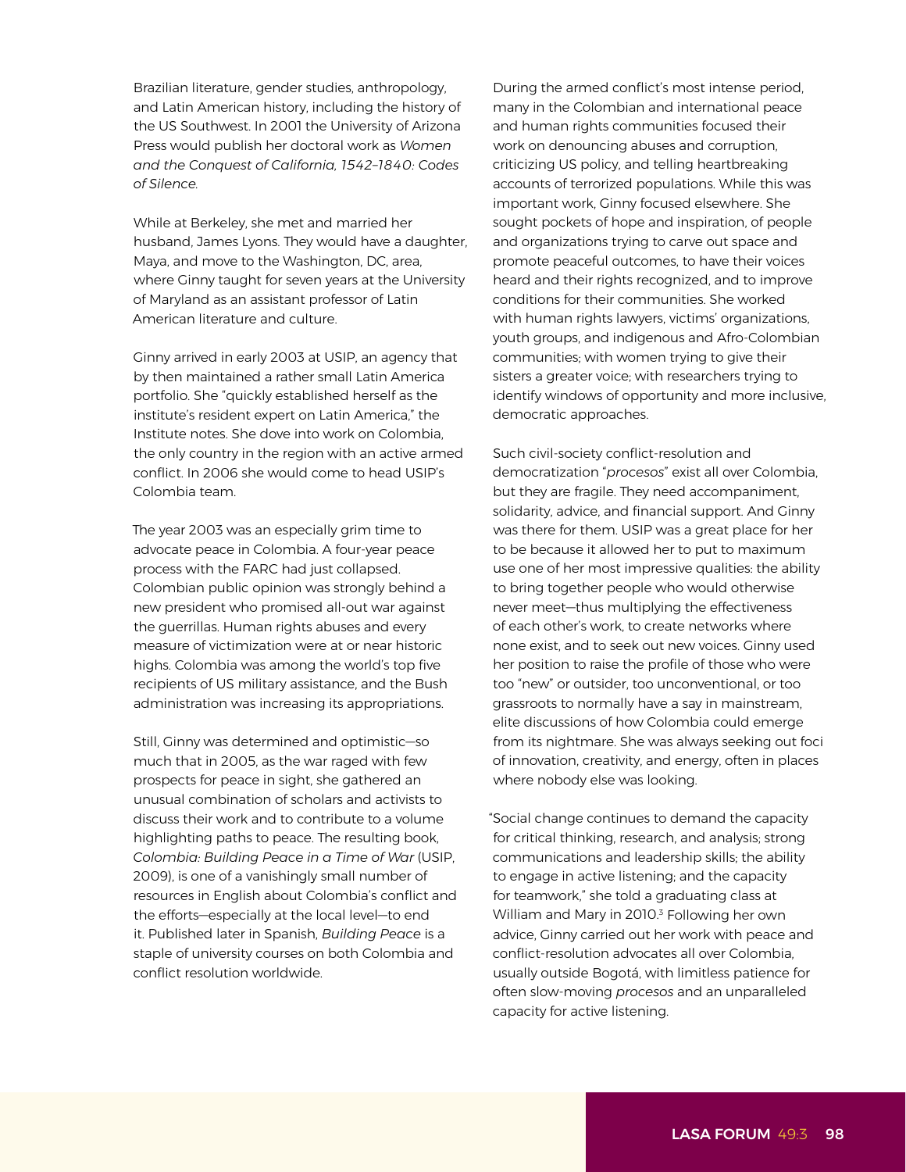Brazilian literature, gender studies, anthropology, and Latin American history, including the history of the US Southwest. In 2001 the University of Arizona Press would publish her doctoral work as *Women and the Conquest of California, 1542–1840: Codes of Silence.*

While at Berkeley, she met and married her husband, James Lyons. They would have a daughter, Maya, and move to the Washington, DC, area, where Ginny taught for seven years at the University of Maryland as an assistant professor of Latin American literature and culture.

Ginny arrived in early 2003 at USIP, an agency that by then maintained a rather small Latin America portfolio. She "quickly established herself as the institute's resident expert on Latin America," the Institute notes. She dove into work on Colombia, the only country in the region with an active armed conflict. In 2006 she would come to head USIP's Colombia team.

The year 2003 was an especially grim time to advocate peace in Colombia. A four-year peace process with the FARC had just collapsed. Colombian public opinion was strongly behind a new president who promised all-out war against the guerrillas. Human rights abuses and every measure of victimization were at or near historic highs. Colombia was among the world's top five recipients of US military assistance, and the Bush administration was increasing its appropriations.

Still, Ginny was determined and optimistic—so much that in 2005, as the war raged with few prospects for peace in sight, she gathered an unusual combination of scholars and activists to discuss their work and to contribute to a volume highlighting paths to peace. The resulting book, *Colombia: Building Peace in a Time of War* (USIP, 2009), is one of a vanishingly small number of resources in English about Colombia's conflict and the efforts—especially at the local level—to end it. Published later in Spanish, *Building Peace* is a staple of university courses on both Colombia and conflict resolution worldwide.

During the armed conflict's most intense period, many in the Colombian and international peace and human rights communities focused their work on denouncing abuses and corruption, criticizing US policy, and telling heartbreaking accounts of terrorized populations. While this was important work, Ginny focused elsewhere. She sought pockets of hope and inspiration, of people and organizations trying to carve out space and promote peaceful outcomes, to have their voices heard and their rights recognized, and to improve conditions for their communities. She worked with human rights lawyers, victims' organizations, youth groups, and indigenous and Afro-Colombian communities; with women trying to give their sisters a greater voice; with researchers trying to identify windows of opportunity and more inclusive, democratic approaches.

Such civil-society conflict-resolution and democratization "*procesos*" exist all over Colombia, but they are fragile. They need accompaniment, solidarity, advice, and financial support. And Ginny was there for them. USIP was a great place for her to be because it allowed her to put to maximum use one of her most impressive qualities: the ability to bring together people who would otherwise never meet—thus multiplying the effectiveness of each other's work, to create networks where none exist, and to seek out new voices. Ginny used her position to raise the profile of those who were too "new" or outsider, too unconventional, or too grassroots to normally have a say in mainstream, elite discussions of how Colombia could emerge from its nightmare. She was always seeking out foci of innovation, creativity, and energy, often in places where nobody else was looking.

"Social change continues to demand the capacity for critical thinking, research, and analysis; strong communications and leadership skills; the ability to engage in active listening; and the capacity for teamwork," she told a graduating class at William and Mary in 2010.<sup>3</sup> Following her own advice, Ginny carried out her work with peace and conflict-resolution advocates all over Colombia, usually outside Bogotá, with limitless patience for often slow-moving *procesos* and an unparalleled capacity for active listening.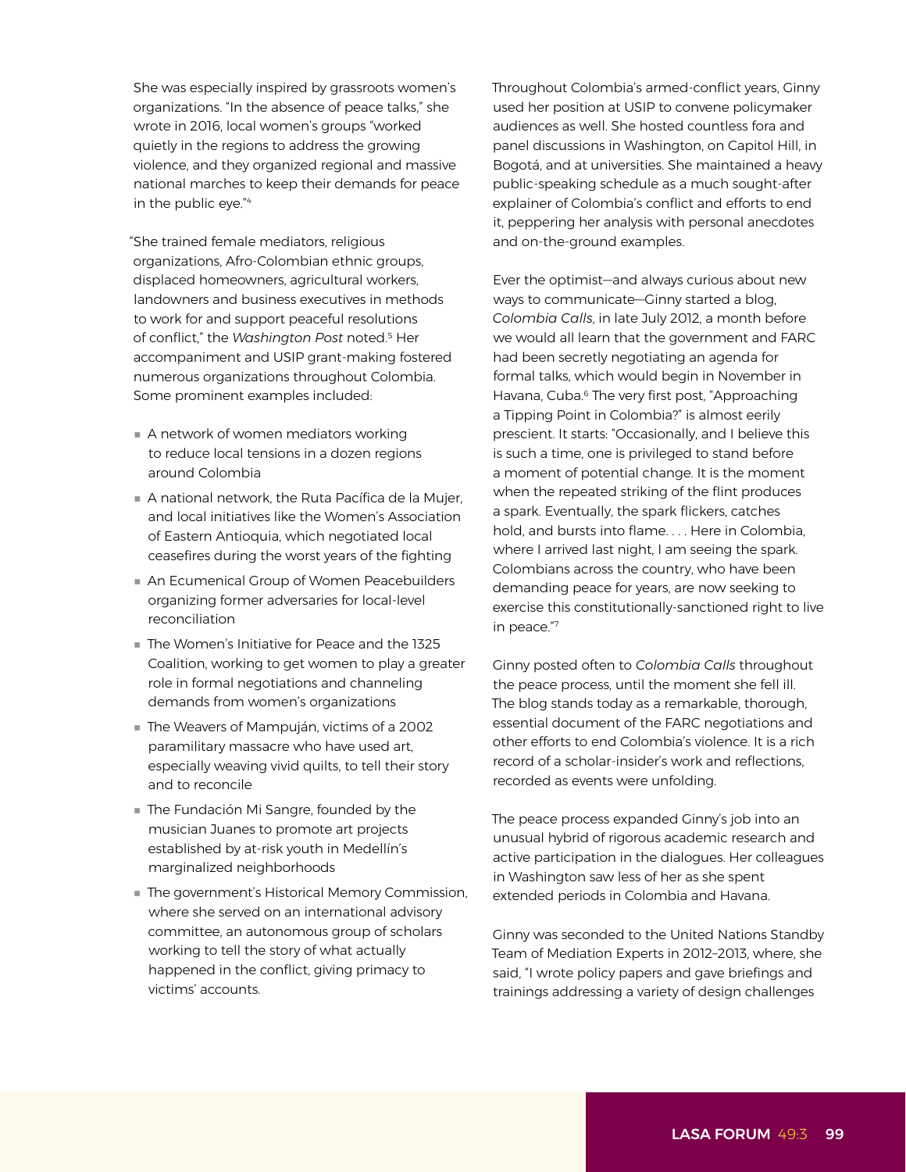She was especially inspired by grassroots women's organizations. "In the absence of peace talks," she wrote in 2016, local women's groups "worked quietly in the regions to address the growing violence, and they organized regional and massive national marches to keep their demands for peace in the public eye."<sup>4</sup>

"She trained female mediators, religious organizations, Afro-Colombian ethnic groups, displaced homeowners, agricultural workers, landowners and business executives in methods to work for and support peaceful resolutions of conflict," the *Washington Post* noted.5 Her accompaniment and USIP grant-making fostered numerous organizations throughout Colombia. Some prominent examples included:

- **■** A network of women mediators working to reduce local tensions in a dozen regions around Colombia
- **■** A national network, the Ruta Pacífica de la Mujer, and local initiatives like the Women's Association of Eastern Antioquia, which negotiated local ceasefires during the worst years of the fighting
- An Ecumenical Group of Women Peacebuilders organizing former adversaries for local-level reconciliation
- **■** The Women's Initiative for Peace and the 1325 Coalition, working to get women to play a greater role in formal negotiations and channeling demands from women's organizations
- The Weavers of Mampuján, victims of a 2002 paramilitary massacre who have used art, especially weaving vivid quilts, to tell their story and to reconcile
- **■** The Fundación Mi Sangre, founded by the musician Juanes to promote art projects established by at-risk youth in Medellín's marginalized neighborhoods
- The government's Historical Memory Commission, where she served on an international advisory committee, an autonomous group of scholars working to tell the story of what actually happened in the conflict, giving primacy to victims' accounts.

Throughout Colombia's armed-conflict years, Ginny used her position at USIP to convene policymaker audiences as well. She hosted countless fora and panel discussions in Washington, on Capitol Hill, in Bogotá, and at universities. She maintained a heavy public-speaking schedule as a much sought-after explainer of Colombia's conflict and efforts to end it, peppering her analysis with personal anecdotes and on-the-ground examples.

Ever the optimist—and always curious about new ways to communicate—Ginny started a blog, *Colombia Calls*, in late July 2012, a month before we would all learn that the government and FARC had been secretly negotiating an agenda for formal talks, which would begin in November in Havana, Cuba.<sup>6</sup> The very first post, "Approaching a Tipping Point in Colombia?" is almost eerily prescient. It starts: "Occasionally, and I believe this is such a time, one is privileged to stand before a moment of potential change. It is the moment when the repeated striking of the flint produces a spark. Eventually, the spark flickers, catches hold, and bursts into flame. . . . Here in Colombia, where I arrived last night, I am seeing the spark. Colombians across the country, who have been demanding peace for years, are now seeking to exercise this constitutionally-sanctioned right to live in peace."<sup>7</sup>

Ginny posted often to *Colombia Calls* throughout the peace process, until the moment she fell ill. The blog stands today as a remarkable, thorough, essential document of the FARC negotiations and other efforts to end Colombia's violence. It is a rich record of a scholar-insider's work and reflections, recorded as events were unfolding.

The peace process expanded Ginny's job into an unusual hybrid of rigorous academic research and active participation in the dialogues. Her colleagues in Washington saw less of her as she spent extended periods in Colombia and Havana.

Ginny was seconded to the United Nations Standby Team of Mediation Experts in 2012–2013, where, she said, "I wrote policy papers and gave briefings and trainings addressing a variety of design challenges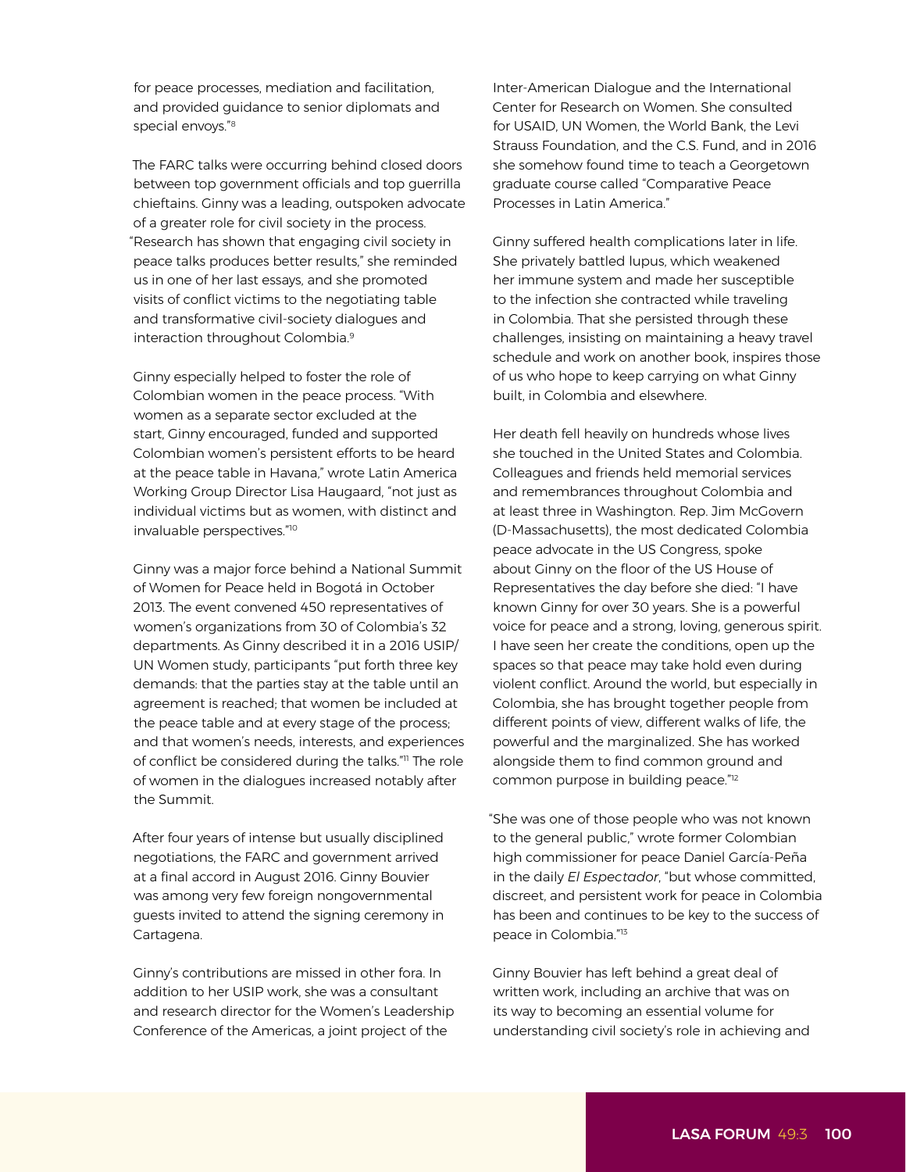for peace processes, mediation and facilitation, and provided guidance to senior diplomats and special envoys."<sup>8</sup>

The FARC talks were occurring behind closed doors between top government officials and top guerrilla chieftains. Ginny was a leading, outspoken advocate of a greater role for civil society in the process. "Research has shown that engaging civil society in peace talks produces better results," she reminded us in one of her last essays, and she promoted visits of conflict victims to the negotiating table and transformative civil-society dialogues and interaction throughout Colombia.<sup>9</sup>

Ginny especially helped to foster the role of Colombian women in the peace process. "With women as a separate sector excluded at the start, Ginny encouraged, funded and supported Colombian women's persistent efforts to be heard at the peace table in Havana," wrote Latin America Working Group Director Lisa Haugaard, "not just as individual victims but as women, with distinct and invaluable perspectives."<sup>10</sup>

Ginny was a major force behind a National Summit of Women for Peace held in Bogotá in October 2013. The event convened 450 representatives of women's organizations from 30 of Colombia's 32 departments. As Ginny described it in a 2016 USIP/ UN Women study, participants "put forth three key demands: that the parties stay at the table until an agreement is reached; that women be included at the peace table and at every stage of the process; and that women's needs, interests, and experiences of conflict be considered during the talks."11 The role of women in the dialogues increased notably after the Summit.

After four years of intense but usually disciplined negotiations, the FARC and government arrived at a final accord in August 2016. Ginny Bouvier was among very few foreign nongovernmental guests invited to attend the signing ceremony in Cartagena.

Ginny's contributions are missed in other fora. In addition to her USIP work, she was a consultant and research director for the Women's Leadership Conference of the Americas, a joint project of the

Inter-American Dialogue and the International Center for Research on Women. She consulted for USAID, UN Women, the World Bank, the Levi Strauss Foundation, and the C.S. Fund, and in 2016 she somehow found time to teach a Georgetown graduate course called "Comparative Peace Processes in Latin America."

Ginny suffered health complications later in life. She privately battled lupus, which weakened her immune system and made her susceptible to the infection she contracted while traveling in Colombia. That she persisted through these challenges, insisting on maintaining a heavy travel schedule and work on another book, inspires those of us who hope to keep carrying on what Ginny built, in Colombia and elsewhere.

Her death fell heavily on hundreds whose lives she touched in the United States and Colombia. Colleagues and friends held memorial services and remembrances throughout Colombia and at least three in Washington. Rep. Jim McGovern (D-Massachusetts), the most dedicated Colombia peace advocate in the US Congress, spoke about Ginny on the floor of the US House of Representatives the day before she died: "I have known Ginny for over 30 years. She is a powerful voice for peace and a strong, loving, generous spirit. I have seen her create the conditions, open up the spaces so that peace may take hold even during violent conflict. Around the world, but especially in Colombia, she has brought together people from different points of view, different walks of life, the powerful and the marginalized. She has worked alongside them to find common ground and common purpose in building peace."<sup>12</sup>

"She was one of those people who was not known to the general public," wrote former Colombian high commissioner for peace Daniel García-Peña in the daily *El Espectador*, "but whose committed, discreet, and persistent work for peace in Colombia has been and continues to be key to the success of peace in Colombia."<sup>13</sup>

Ginny Bouvier has left behind a great deal of written work, including an archive that was on its way to becoming an essential volume for understanding civil society's role in achieving and